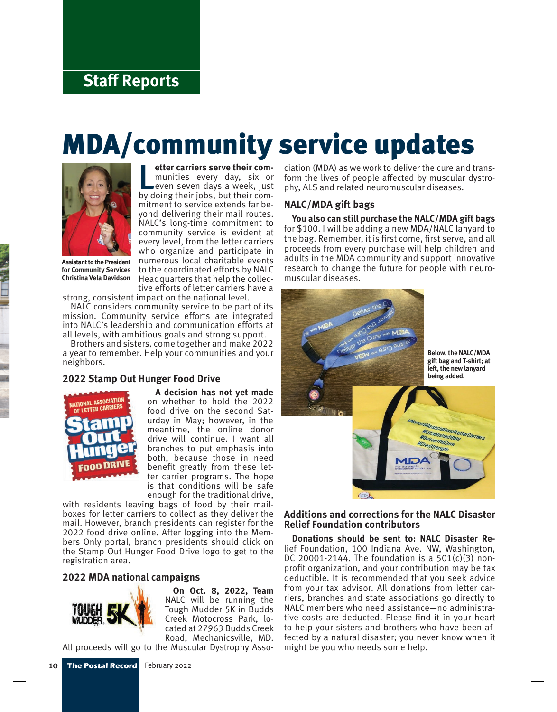### **Staff Reports**

# MDA/community service updates



**Letter carriers serve their com-**<br>
munities every day, six or<br>
even seven days a week, just<br>
by doing their jobs, but their com**etter carriers serve their com**munities every day, six or even seven days a week, just mitment to service extends far beyond delivering their mail routes. NALC's long-time commitment to community service is evident at every level, from the letter carriers who organize and participate in numerous local charitable events to the coordinated efforts by NALC Headquarters that help the collective efforts of letter carriers have a

**Assistant to the President for Community Services Christina Vela Davidson**

strong, consistent impact on the national level.

NALC considers community service to be part of its mission. Community service efforts are integrated into NALC's leadership and communication efforts at all levels, with ambitious goals and strong support.

Brothers and sisters, come together and make 2022 a year to remember. Help your communities and your neighbors.

#### **2022 Stamp Out Hunger Food Drive**



**A decision has not yet made**  on whether to hold the 2022 food drive on the second Saturday in May; however, in the meantime, the online donor drive will continue. I want all branches to put emphasis into both, because those in need benefit greatly from these letter carrier programs. The hope is that conditions will be safe enough for the traditional drive,

with residents leaving bags of food by their mailboxes for letter carriers to collect as they deliver the mail. However, branch presidents can register for the 2022 food drive online. After logging into the Members Only portal, branch presidents should click on the Stamp Out Hunger Food Drive logo to get to the registration area.

#### **2022 MDA national campaigns**



**On Oct. 8, 2022, Team** NALC will be running the Tough Mudder 5K in Budds Creek Motocross Park, located at 27963 Budds Creek Road, Mechanicsville, MD.

All proceeds will go to the Muscular Dystrophy Asso-

ciation (MDA) as we work to deliver the cure and transform the lives of people affected by muscular dystrophy, ALS and related neuromuscular diseases.

#### **NALC/MDA gift bags**

**You also can still purchase the NALC/MDA gift bags** for \$100. I will be adding a new MDA/NALC lanyard to the bag. Remember, it is first come, first serve, and all proceeds from every purchase will help children and adults in the MDA community and support innovative research to change the future for people with neuromuscular diseases.



#### **Additions and corrections for the NALC Disaster Relief Foundation contributors**

**Donations should be sent to: NALC Disaster Re**lief Foundation, 100 Indiana Ave. NW, Washington, DC 20001-2144. The foundation is a  $501(c)(3)$  nonprofit organization, and your contribution may be tax deductible. It is recommended that you seek advice from your tax advisor. All donations from letter carriers, branches and state associations go directly to NALC members who need assistance—no administrative costs are deducted. Please find it in your heart to help your sisters and brothers who have been affected by a natural disaster; you never know when it might be you who needs some help.